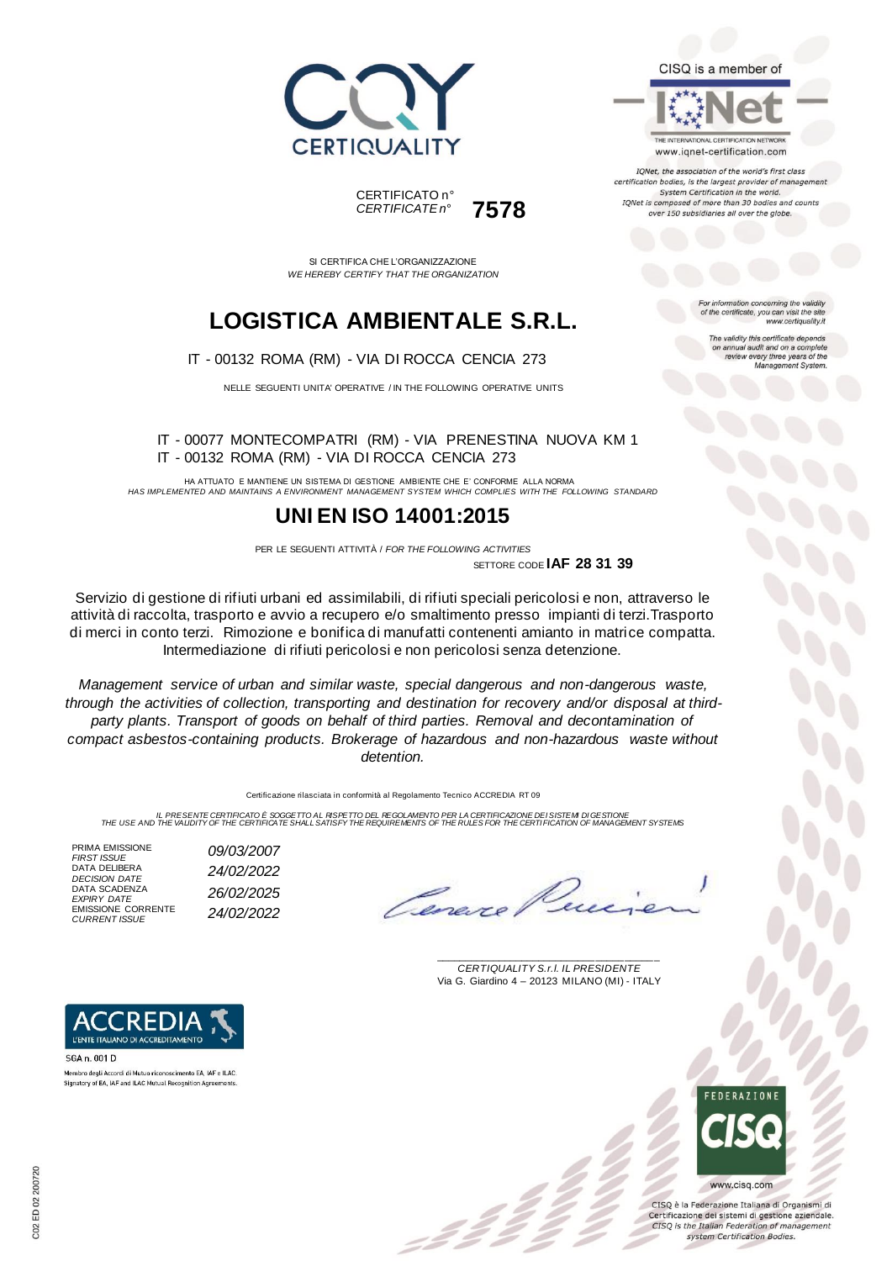



THE INTERNATIONAL CERTIFICATION NETWORK www.iqnet-certification.com

IQNet, the association of the world's first class certification bodies, is the largest provider of manager System Certification in the world. IQNet is composed of more than 30 bodies and counts over 150 subsidiaries all over the globe.

For information concerning the validity<br>of the certificate, you can visit the site

The validity this certificate depends on annual audit and on a complete<br>review every three years of the<br>Management System.

www.certiquality.it

SI CERTIFICA CHE L'ORGANIZZAZIONE *WE HEREBY CERTIFY THAT THE ORGANIZATION*

CERTIFICATO n°

*CERTIFICATE n°* **7578**

## **LOGISTICA AMBIENTALE S.R.L.**

IT - 00132 ROMA (RM) - VIA DI ROCCA CENCIA 273

NELLE SEGUENTI UNITA' OPERATIVE / IN THE FOLLOWING OPERATIVE UNITS

IT - 00077 MONTECOMPATRI (RM) - VIA PRENESTINA NUOVA KM 1 IT - 00132 ROMA (RM) - VIA DI ROCCA CENCIA 273

HA ATTUATO E MANTIENE UN SISTEMA DI GESTIONE AMBIENTE CHE E' CONFORME ALLA NORMA *HAS IMPLEMENTED AND MAINTAINS A ENVIRONMENT MANAGEMENT SYSTEM WHICH COMPLIES WITH THE FOLLOWING STANDARD*

### **UNI EN ISO 14001:2015**

PER LE SEGUENTI ATTIVITÀ / *FOR THE FOLLOWING ACTIVITIES* SETTORE CODE **IAF 28 31 39**

Servizio di gestione di rifiuti urbani ed assimilabili, di rifiuti speciali pericolosi e non, attraverso le attività di raccolta, trasporto e avvio a recupero e/o smaltimento presso impianti di terzi.Trasporto di merci in conto terzi. Rimozione e bonifica di manufatti contenenti amianto in matrice compatta. Intermediazione di rifiuti pericolosi e non pericolosi senza detenzione.

*Management service of urban and similar waste, special dangerous and non-dangerous waste, through the activities of collection, transporting and destination for recovery and/or disposal at third*party plants. Transport of goods on behalf of third parties. Removal and decontamination of *compact asbestos-containing products. Brokerage of hazardous and non-hazardous waste without detention.*

Certificazione rilasciata in conformità al Regolamento Tecnico ACCREDIA RT 09

IL PRESENTE CERTIFICATO E SOGGETTO AL RISPETTO DEL REGOLAMENTO PER LA CERTIFICAZIONE DEI SISTEM DI GESTIONE<br>THE USE AND THE VALIDITY OF THE CERTIFICATE SHALL SATISFY THE REQUIREMENTS OF THE RULES FOR THE CERTI FICATION OF

PRIMA EMISSIONE *FIRST ISSUE 09/03/2007* DATA DELIBERA *DECISION DATE 24/02/2022* DATA SCADENZA *EXPIRY DATE 26/02/2025* EMISSIONE CORRENTE *CURRENT ISSUE 24/02/2022*

\_\_\_\_\_\_\_\_\_\_\_\_\_\_\_\_\_\_\_\_\_\_\_\_\_\_\_\_\_\_\_\_\_\_\_\_\_\_\_ *CERTIQUALITY S.r.l. IL PRESIDENTE* Via G. Giardino 4 – 20123 MILANO (MI) - ITALY



CISO è la Federazione Italiana di Organismi di Certificazione dei sistemi di gestione aziendale. CISQ is the Italian Federation of management system Certification Bodies.



SGA n. 001 D Membro degli Accordi di Mutuo riconoscimento EA, IAF e ILAC Signatory of EA, IAF and ILAC Mutual Recognition Agreen